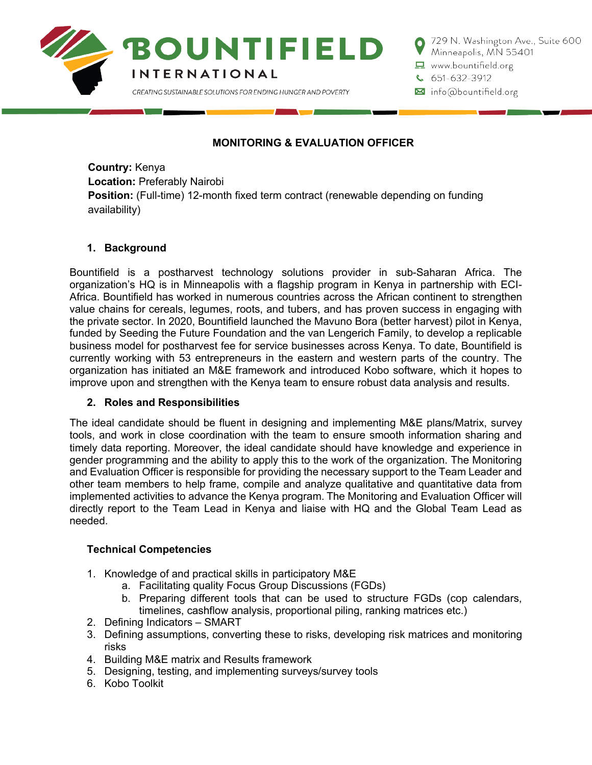

729 N. Washington Ave., Suite 600 Minneapolis, MN 55401  $\Box$  www.bountifield.org

 $651-632-3912$ 

M info@bountifield.org

# **MONITORING & EVALUATION OFFICER**

**Country:** Kenya **Location:** Preferably Nairobi **Position:** (Full-time) 12-month fixed term contract (renewable depending on funding availability)

## **1. Background**

Bountifield is a postharvest technology solutions provider in sub-Saharan Africa. The organization's HQ is in Minneapolis with a flagship program in Kenya in partnership with ECI-Africa. Bountifield has worked in numerous countries across the African continent to strengthen value chains for cereals, legumes, roots, and tubers, and has proven success in engaging with the private sector. In 2020, Bountifield launched the Mavuno Bora (better harvest) pilot in Kenya, funded by Seeding the Future Foundation and the van Lengerich Family, to develop a replicable business model for postharvest fee for service businesses across Kenya. To date, Bountifield is currently working with 53 entrepreneurs in the eastern and western parts of the country. The organization has initiated an M&E framework and introduced Kobo software, which it hopes to improve upon and strengthen with the Kenya team to ensure robust data analysis and results.

## **2. Roles and Responsibilities**

The ideal candidate should be fluent in designing and implementing M&E plans/Matrix, survey tools, and work in close coordination with the team to ensure smooth information sharing and timely data reporting. Moreover, the ideal candidate should have knowledge and experience in gender programming and the ability to apply this to the work of the organization. The Monitoring and Evaluation Officer is responsible for providing the necessary support to the Team Leader and other team members to help frame, compile and analyze qualitative and quantitative data from implemented activities to advance the Kenya program. The Monitoring and Evaluation Officer will directly report to the Team Lead in Kenya and liaise with HQ and the Global Team Lead as needed.

## **Technical Competencies**

- 1. Knowledge of and practical skills in participatory M&E
	- a. Facilitating quality Focus Group Discussions (FGDs)
	- b. Preparing different tools that can be used to structure FGDs (cop calendars, timelines, cashflow analysis, proportional piling, ranking matrices etc.)
- 2. Defining Indicators SMART
- 3. Defining assumptions, converting these to risks, developing risk matrices and monitoring risks
- 4. Building M&E matrix and Results framework
- 5. Designing, testing, and implementing surveys/survey tools
- 6. Kobo Toolkit